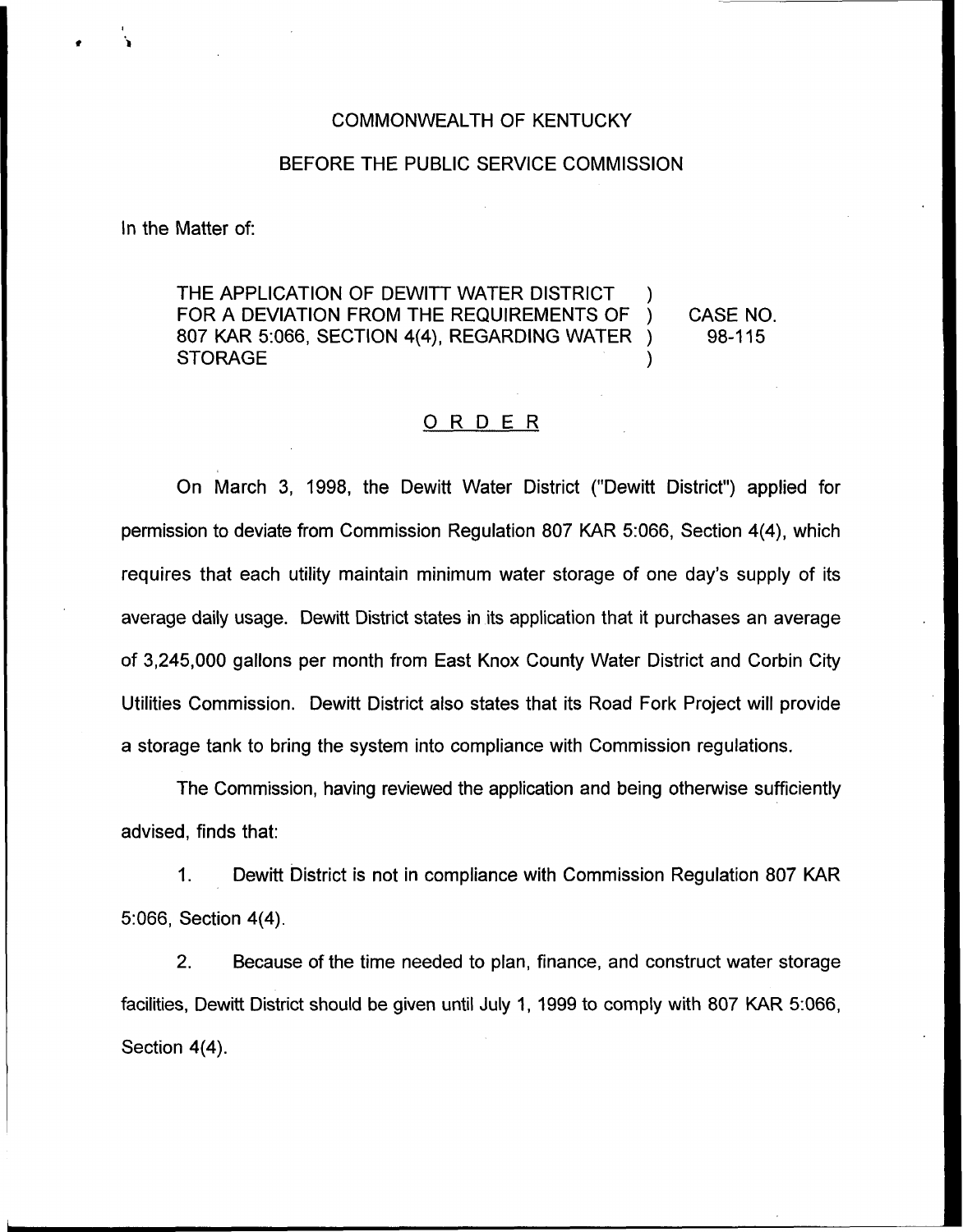## COMMONWEALTH OF KENTUCKY

## BEFORE THE PUBLIC SERVICE COMMISSION

In the Matter of:

THE APPLICATION OF DEWITT WATER DISTRICT FOR A DEVIATION FROM THE REQUIREMENTS OF ) CASE NO.<br>807 KAR 5:066, SECTION 4(4), REGARDING WATER ) 98-115 807 KAR 5:066, SECTION 4(4), REGARDING WATER ) **STORAGE** 

## ORDER

On March 3, 1998, the Dewitt Water District ("Dewitt District") applied for permission to deviate from Commission Regulation 807 KAR 5:066, Section 4(4), which requires that each utility maintain minimum water storage of one day's supply of its average daily usage. Dewitt District states in its application that it purchases an average of 3,245,000 gallons per month from East Knox County Water District and Corbin City Utilities Commission. Dewitt District also states that its Road Fork Project will provide a storage tank to bring the system into compliance with Commission regulations.

The Commission, having reviewed the application and being otherwise sufficiently advised, finds that:

1. Dewitt District is not in compliance with Commission Regulation 807 KAR 5:066, Section 4(4).

2. Because of the time needed to plan, finance, and construct water storage facilities, Dewitt District should be given until July 1, 1999 to comply with 807 KAR 5:066, Section 4(4).